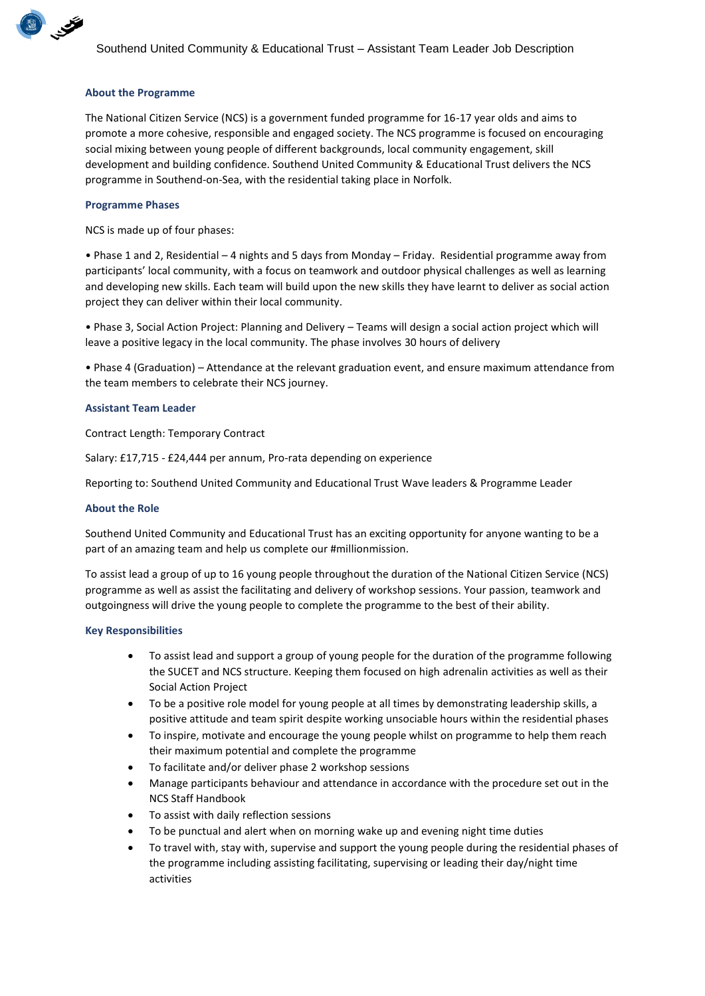

## **About the Programme**

The National Citizen Service (NCS) is a government funded programme for 16-17 year olds and aims to promote a more cohesive, responsible and engaged society. The NCS programme is focused on encouraging social mixing between young people of different backgrounds, local community engagement, skill development and building confidence. Southend United Community & Educational Trust delivers the NCS programme in Southend-on-Sea, with the residential taking place in Norfolk.

#### **Programme Phases**

NCS is made up of four phases:

• Phase 1 and 2, Residential – 4 nights and 5 days from Monday – Friday. Residential programme away from participants' local community, with a focus on teamwork and outdoor physical challenges as well as learning and developing new skills. Each team will build upon the new skills they have learnt to deliver as social action project they can deliver within their local community.

• Phase 3, Social Action Project: Planning and Delivery – Teams will design a social action project which will leave a positive legacy in the local community. The phase involves 30 hours of delivery

• Phase 4 (Graduation) – Attendance at the relevant graduation event, and ensure maximum attendance from the team members to celebrate their NCS journey.

#### **Assistant Team Leader**

Contract Length: Temporary Contract

Salary: £17,715 - £24,444 per annum, Pro-rata depending on experience

Reporting to: Southend United Community and Educational Trust Wave leaders & Programme Leader

#### **About the Role**

Southend United Community and Educational Trust has an exciting opportunity for anyone wanting to be a part of an amazing team and help us complete our #millionmission.

To assist lead a group of up to 16 young people throughout the duration of the National Citizen Service (NCS) programme as well as assist the facilitating and delivery of workshop sessions. Your passion, teamwork and outgoingness will drive the young people to complete the programme to the best of their ability.

#### **Key Responsibilities**

- To assist lead and support a group of young people for the duration of the programme following the SUCET and NCS structure. Keeping them focused on high adrenalin activities as well as their Social Action Project
- To be a positive role model for young people at all times by demonstrating leadership skills, a positive attitude and team spirit despite working unsociable hours within the residential phases
- To inspire, motivate and encourage the young people whilst on programme to help them reach their maximum potential and complete the programme
- To facilitate and/or deliver phase 2 workshop sessions
- Manage participants behaviour and attendance in accordance with the procedure set out in the NCS Staff Handbook
- To assist with daily reflection sessions
- To be punctual and alert when on morning wake up and evening night time duties
- To travel with, stay with, supervise and support the young people during the residential phases of the programme including assisting facilitating, supervising or leading their day/night time activities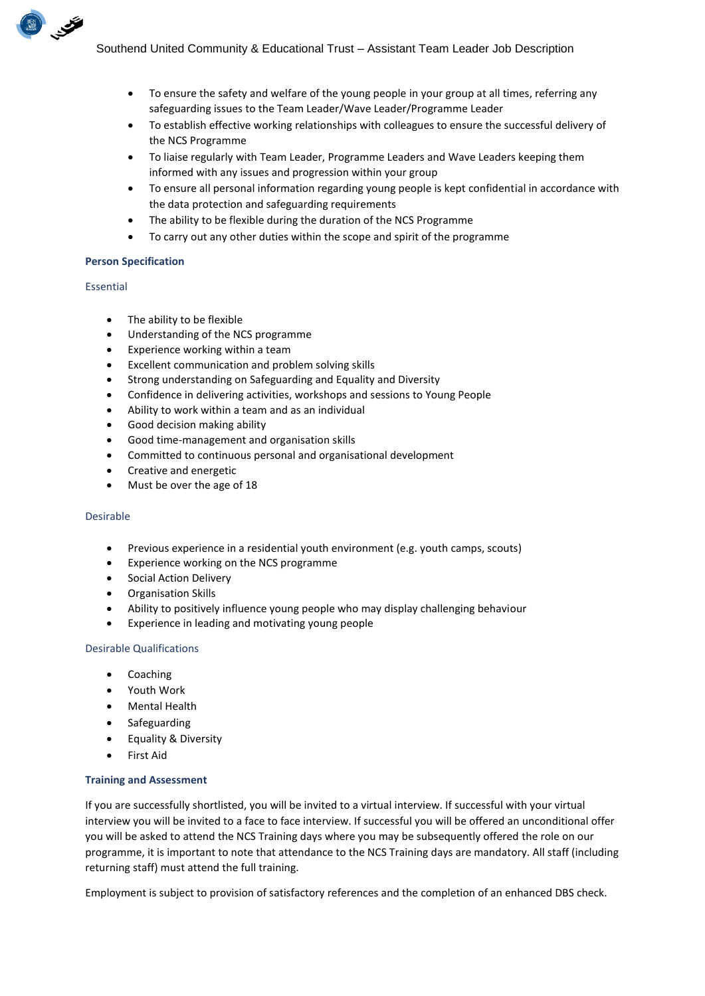- To ensure the safety and welfare of the young people in your group at all times, referring any safeguarding issues to the Team Leader/Wave Leader/Programme Leader
- To establish effective working relationships with colleagues to ensure the successful delivery of the NCS Programme
- To liaise regularly with Team Leader, Programme Leaders and Wave Leaders keeping them informed with any issues and progression within your group
- To ensure all personal information regarding young people is kept confidential in accordance with the data protection and safeguarding requirements
- The ability to be flexible during the duration of the NCS Programme
- To carry out any other duties within the scope and spirit of the programme

# **Person Specification**

## Essential

BUSINESS OF

- The ability to be flexible
- Understanding of the NCS programme
- Experience working within a team
- Excellent communication and problem solving skills
- Strong understanding on Safeguarding and Equality and Diversity
- Confidence in delivering activities, workshops and sessions to Young People
- Ability to work within a team and as an individual
- Good decision making ability
- Good time-management and organisation skills
- Committed to continuous personal and organisational development
- Creative and energetic
- Must be over the age of 18

# Desirable

- Previous experience in a residential youth environment (e.g. youth camps, scouts)
- Experience working on the NCS programme
- Social Action Delivery
- Organisation Skills
- Ability to positively influence young people who may display challenging behaviour
- Experience in leading and motivating young people

# Desirable Qualifications

- **Coaching**
- Youth Work
- Mental Health
- Safeguarding
- Equality & Diversity
- **First Aid**

# **Training and Assessment**

If you are successfully shortlisted, you will be invited to a virtual interview. If successful with your virtual interview you will be invited to a face to face interview. If successful you will be offered an unconditional offer you will be asked to attend the NCS Training days where you may be subsequently offered the role on our programme, it is important to note that attendance to the NCS Training days are mandatory. All staff (including returning staff) must attend the full training.

Employment is subject to provision of satisfactory references and the completion of an enhanced DBS check.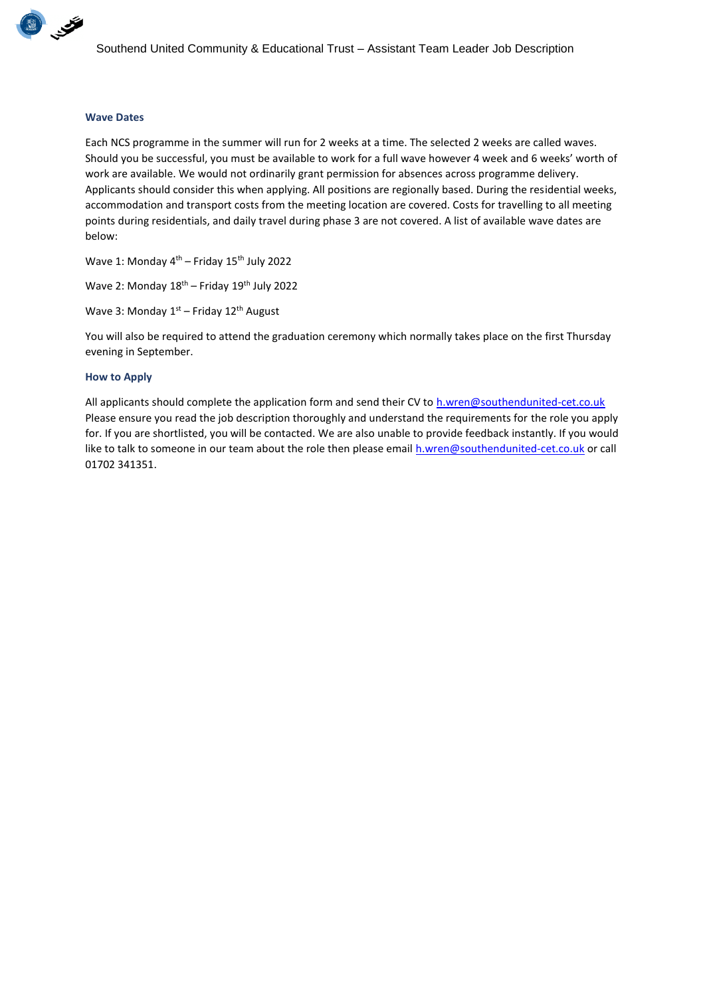

## **Wave Dates**

Each NCS programme in the summer will run for 2 weeks at a time. The selected 2 weeks are called waves. Should you be successful, you must be available to work for a full wave however 4 week and 6 weeks' worth of work are available. We would not ordinarily grant permission for absences across programme delivery. Applicants should consider this when applying. All positions are regionally based. During the residential weeks, accommodation and transport costs from the meeting location are covered. Costs for travelling to all meeting points during residentials, and daily travel during phase 3 are not covered. A list of available wave dates are below:

Wave 1: Monday 4<sup>th</sup> – Friday 15<sup>th</sup> July 2022

Wave 2: Monday  $18^{th}$  – Friday  $19^{th}$  July 2022

Wave 3: Monday 1<sup>st</sup> – Friday 12<sup>th</sup> August

You will also be required to attend the graduation ceremony which normally takes place on the first Thursday evening in September.

#### **How to Apply**

All applicants should complete the application form and send their CV t[o h.wren@southendunited-cet.co.uk](mailto:h.wren@southendunited-cet.co.uk) Please ensure you read the job description thoroughly and understand the requirements for the role you apply for. If you are shortlisted, you will be contacted. We are also unable to provide feedback instantly. If you would like to talk to someone in our team about the role then please email [h.wren@southendunited-cet.co.uk](mailto:h.wren@southendunited-cet.co.uk) or call 01702 341351.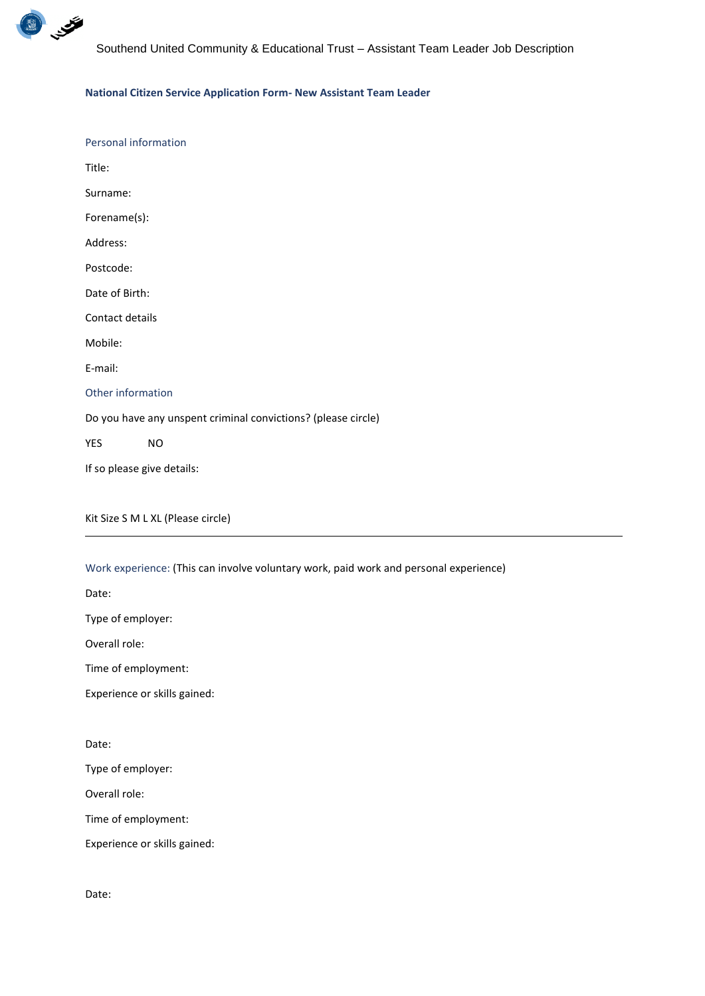

## **National Citizen Service Application Form- New Assistant Team Leader**

# Kit Size S M L XL (Please circle)

Work experience: (This can involve voluntary work, paid work and personal experience)

Date:

Type of employer:

Overall role:

Time of employment:

Experience or skills gained:

Date:

Type of employer:

Overall role:

Time of employment:

Experience or skills gained:

Date: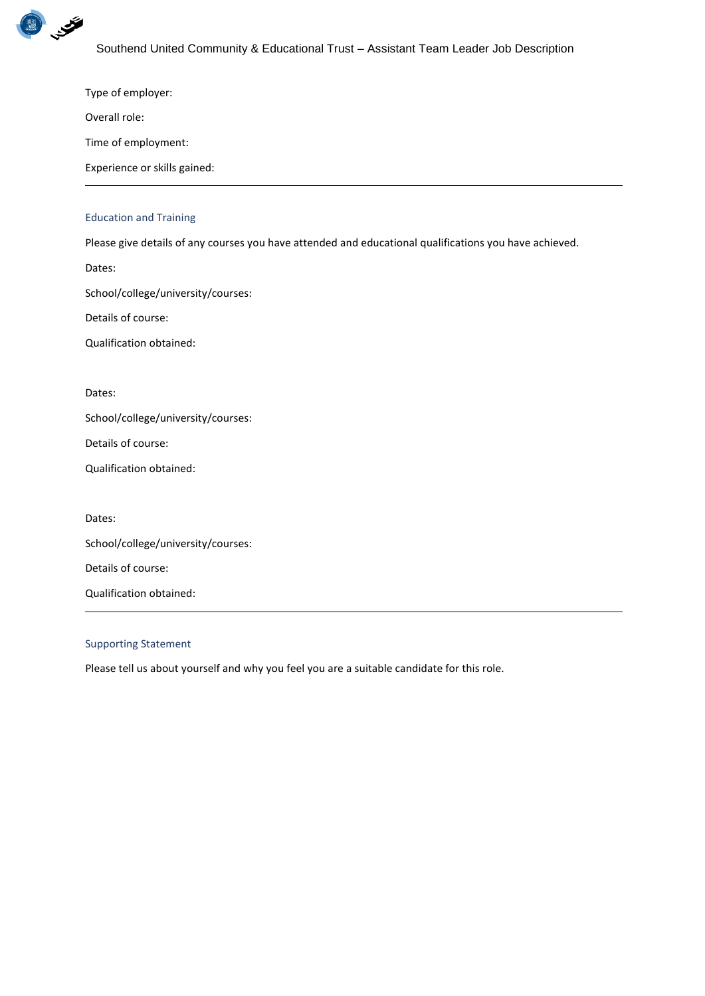

Type of employer:

Overall role:

Time of employment:

Experience or skills gained:

## Education and Training

Please give details of any courses you have attended and educational qualifications you have achieved.

Dates:

School/college/university/courses:

Details of course:

Qualification obtained:

Dates:

School/college/university/courses:

Details of course:

Qualification obtained:

Dates:

School/college/university/courses:

Details of course:

Qualification obtained:

## Supporting Statement

Please tell us about yourself and why you feel you are a suitable candidate for this role.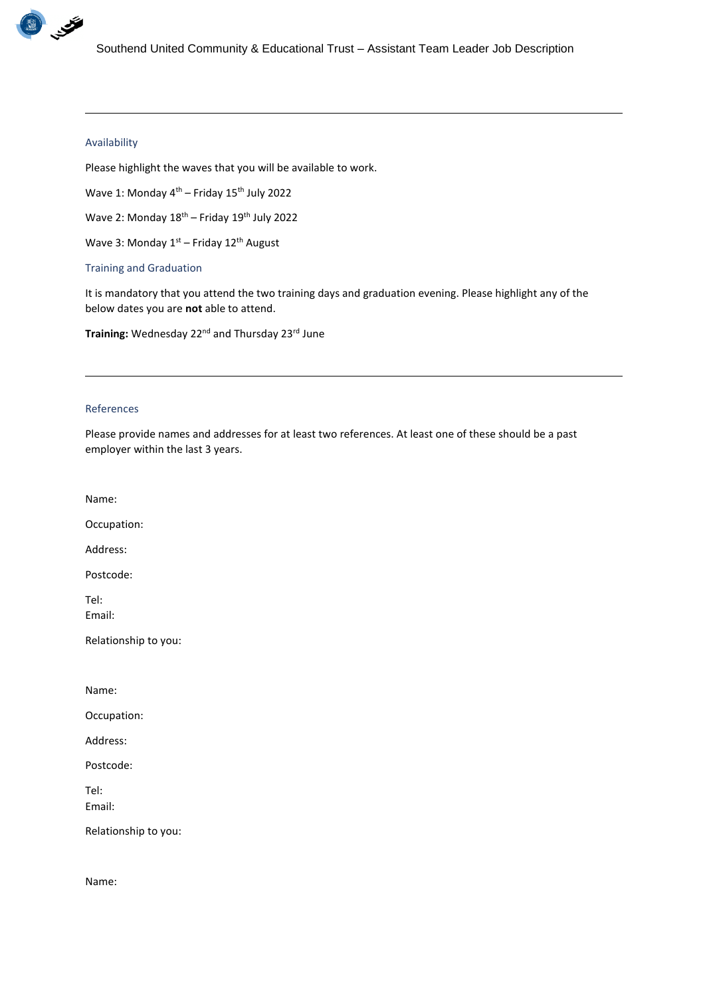

#### Availability

Please highlight the waves that you will be available to work.

Wave 1: Monday 4<sup>th</sup> – Friday 15<sup>th</sup> July 2022

Wave 2: Monday  $18^{th}$  – Friday  $19^{th}$  July 2022

Wave 3: Monday  $1<sup>st</sup>$  – Friday  $12<sup>th</sup>$  August

Training and Graduation

It is mandatory that you attend the two training days and graduation evening. Please highlight any of the below dates you are **not** able to attend.

Training: Wednesday 22<sup>nd</sup> and Thursday 23<sup>rd</sup> June

## References

Please provide names and addresses for at least two references. At least one of these should be a past employer within the last 3 years.

Name:

Occupation:

Address:

Postcode:

Tel: Email:

Relationship to you:

Name:

Occupation:

Address:

Postcode:

Tel: Email:

Relationship to you:

Name: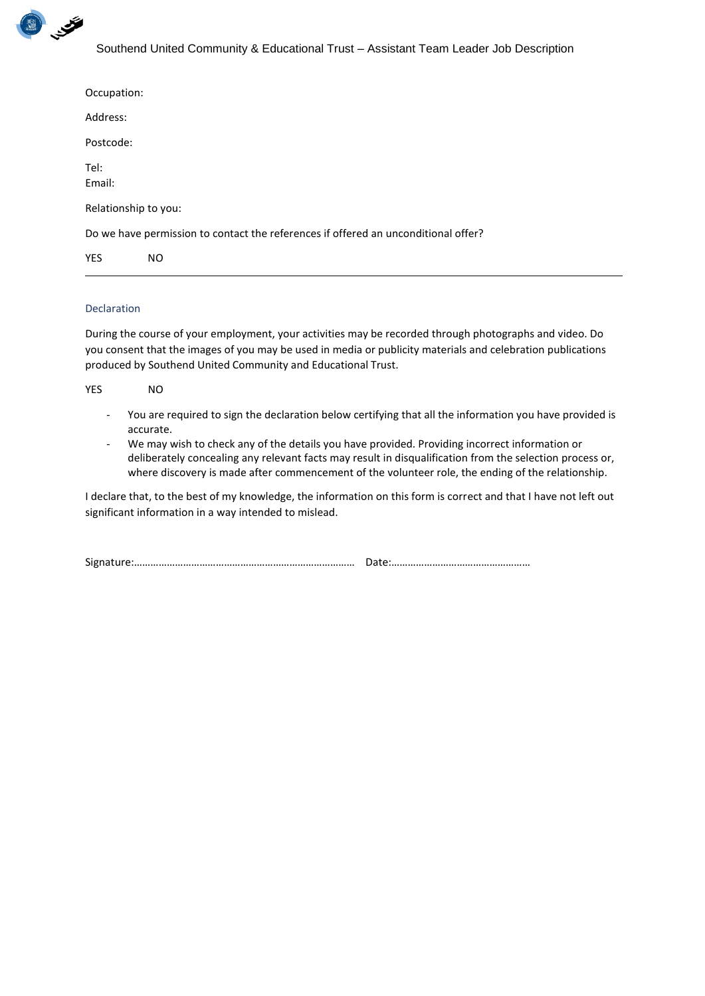

| Occupation:                                                                        |     |  |  |  |
|------------------------------------------------------------------------------------|-----|--|--|--|
| Address:                                                                           |     |  |  |  |
| Postcode:                                                                          |     |  |  |  |
| Tel:<br>Email:                                                                     |     |  |  |  |
| Relationship to you:                                                               |     |  |  |  |
| Do we have permission to contact the references if offered an unconditional offer? |     |  |  |  |
| <b>YES</b>                                                                         | NO. |  |  |  |

# Declaration

During the course of your employment, your activities may be recorded through photographs and video. Do you consent that the images of you may be used in media or publicity materials and celebration publications produced by Southend United Community and Educational Trust.

| YES | NO.                                                                                                       |
|-----|-----------------------------------------------------------------------------------------------------------|
|     | - You are required to sign the declaration below certifying that all the information you have provided is |

- accurate. - We may wish to check any of the details you have provided. Providing incorrect information or deliberately concealing any relevant facts may result in disqualification from the selection process or,
- where discovery is made after commencement of the volunteer role, the ending of the relationship.

I declare that, to the best of my knowledge, the information on this form is correct and that I have not left out significant information in a way intended to mislead.

| $\sim$<br>Signat |  |
|------------------|--|
|------------------|--|